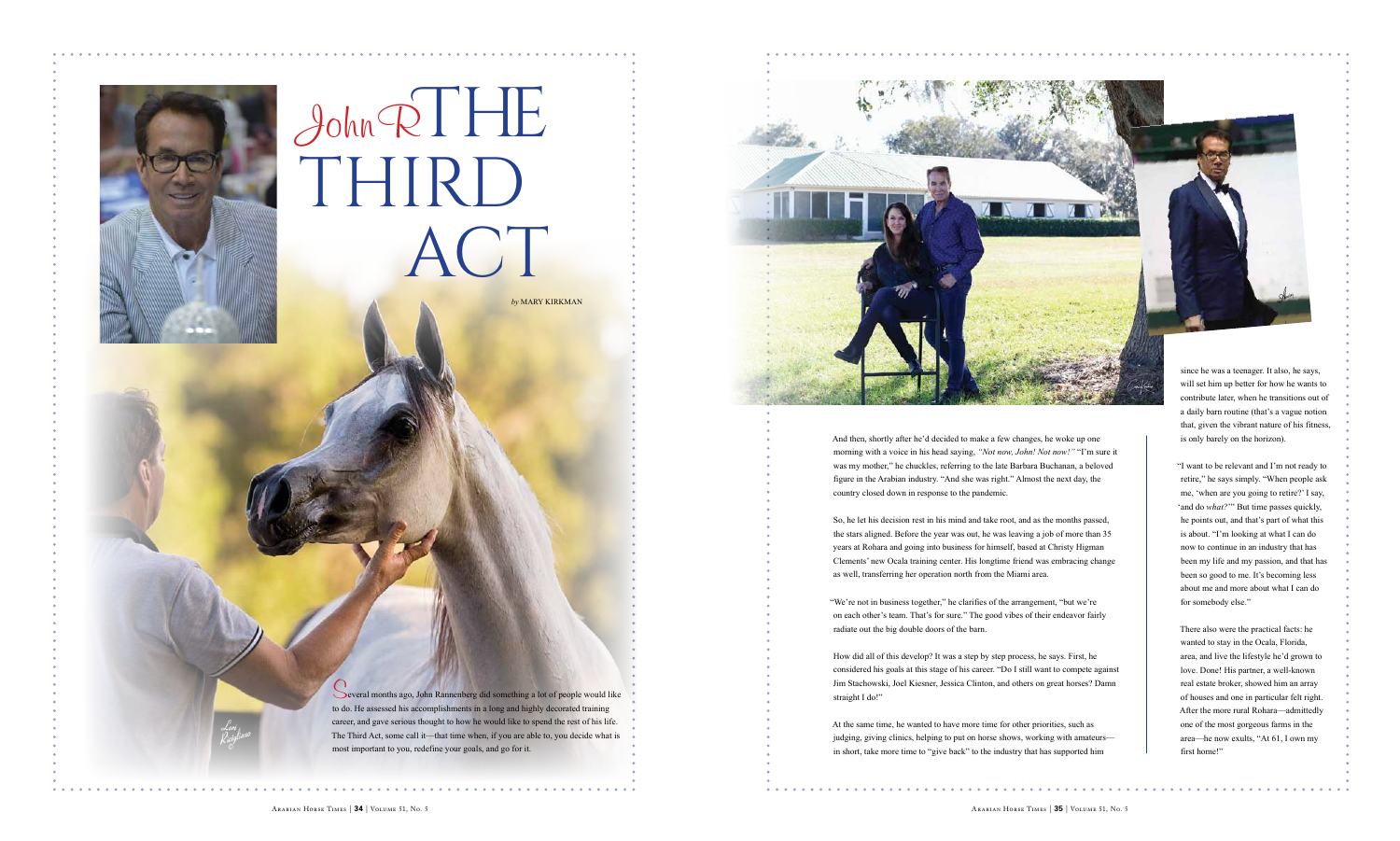

And then, shortly after he'd decided to make a few changes, he woke up one morning with a voice in his head saying, "Not now, John! Not now!" "I'm sure it was my mother," he chuckles, referring to the late Barbara Buchanan, a beloved figure in the Arabian industry. "And she was right." Almost the next day, the country closed down in response to the pandemic.

So, he let his decision rest in his mind and take root, and as the months passed, the stars aligned. Before the year was out, he was leaving a job of more than 35 years at Rohara and going into business for himself, based at Christy Higman Clements' new Ocala training center. His longtime friend was embracing change as well, transferring her operation north from the Miami area.

"We're not in business together," he clarifies of the arrangement, "but we're on each other's team. That's for sure." The good vibes of their endeavor fairly radiate out the big double doors of the barn.

straight I do!"

There also were the practical facts: he wanted to stay in the Ocala, Florida, area, and live the lifestyle he'd grown to love. Done! His partner, a well-known real estate broker, showed him an array of houses and one in particular felt right. After the more rural Rohara—admittedly one of the most gorgeous farms in the area—he now exults, "At 61, I own my first home!"

How did all of this develop? It was a step by step process, he says. First, he considered his goals at this stage of his career. "Do I still want to compete against Jim Stachowski, Joel Kiesner, Jessica Clinton, and others on great horses? Damn

At the same time, he wanted to have more time for other priorities, such as judging, giving clinics, helping to put on horse shows, working with amateurs in short, take more time to "give back" to the industry that has supported him



will set him up better for how he wants to contribute later, when he transitions out of a daily barn routine (that's a vague notion that, given the vibrant nature of his fitness, is only barely on the horizon).

"I want to be relevant and I'm not ready to retire," he says simply. "When people ask me, 'when are you going to retire?' I say, 'and do *what?*'" But time passes quickly, he points out, and that's part of what this is about. "I'm looking at what I can do now to continue in an industry that has been my life and my passion, and that has been so good to me. It's becoming less about me and more about what I can do for somebody else."